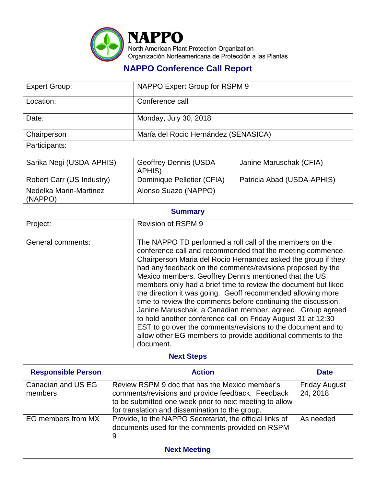

## **NAPPO Conference Call Report**

| <b>Expert Group:</b>              |                                                                                                                                                                                                                               | NAPPO Expert Group for RSPM 9                                                                                                                                                                                                                                                                                                                                                                                                                                                                                                                                                                                                                                                                                                                                                              |                            |                      |  |
|-----------------------------------|-------------------------------------------------------------------------------------------------------------------------------------------------------------------------------------------------------------------------------|--------------------------------------------------------------------------------------------------------------------------------------------------------------------------------------------------------------------------------------------------------------------------------------------------------------------------------------------------------------------------------------------------------------------------------------------------------------------------------------------------------------------------------------------------------------------------------------------------------------------------------------------------------------------------------------------------------------------------------------------------------------------------------------------|----------------------------|----------------------|--|
| Location:                         |                                                                                                                                                                                                                               | Conference call                                                                                                                                                                                                                                                                                                                                                                                                                                                                                                                                                                                                                                                                                                                                                                            |                            |                      |  |
| Date:                             |                                                                                                                                                                                                                               | Monday, July 30, 2018                                                                                                                                                                                                                                                                                                                                                                                                                                                                                                                                                                                                                                                                                                                                                                      |                            |                      |  |
| Chairperson                       |                                                                                                                                                                                                                               | María del Rocio Hernández (SENASICA)                                                                                                                                                                                                                                                                                                                                                                                                                                                                                                                                                                                                                                                                                                                                                       |                            |                      |  |
| Participants:                     |                                                                                                                                                                                                                               |                                                                                                                                                                                                                                                                                                                                                                                                                                                                                                                                                                                                                                                                                                                                                                                            |                            |                      |  |
| Sarika Negi (USDA-APHIS)          |                                                                                                                                                                                                                               | <b>Geoffrey Dennis (USDA-</b><br>APHIS)                                                                                                                                                                                                                                                                                                                                                                                                                                                                                                                                                                                                                                                                                                                                                    | Janine Maruschak (CFIA)    |                      |  |
| Robert Carr (US Industry)         |                                                                                                                                                                                                                               | Dominique Pelletier (CFIA)                                                                                                                                                                                                                                                                                                                                                                                                                                                                                                                                                                                                                                                                                                                                                                 | Patricia Abad (USDA-APHIS) |                      |  |
| Nedelka Marin-Martinez<br>(NAPPO) |                                                                                                                                                                                                                               | Alonso Suazo (NAPPO)                                                                                                                                                                                                                                                                                                                                                                                                                                                                                                                                                                                                                                                                                                                                                                       |                            |                      |  |
| <b>Summary</b>                    |                                                                                                                                                                                                                               |                                                                                                                                                                                                                                                                                                                                                                                                                                                                                                                                                                                                                                                                                                                                                                                            |                            |                      |  |
| Project:                          |                                                                                                                                                                                                                               | <b>Revision of RSPM 9</b>                                                                                                                                                                                                                                                                                                                                                                                                                                                                                                                                                                                                                                                                                                                                                                  |                            |                      |  |
| <b>General comments:</b>          |                                                                                                                                                                                                                               | The NAPPO TD performed a roll call of the members on the<br>conference call and recommended that the meeting commence.<br>Chairperson Maria del Rocio Hernandez asked the group if they<br>had any feedback on the comments/revisions proposed by the<br>Mexico members. Geoffrey Dennis mentioned that the US<br>members only had a brief time to review the document but liked<br>the direction it was going. Geoff recommended allowing more<br>time to review the comments before continuing the discussion.<br>Janine Maruschak, a Canadian member, agreed. Group agreed<br>to hold another conference call on Friday August 31 at 12:30<br>EST to go over the comments/revisions to the document and to<br>allow other EG members to provide additional comments to the<br>document. |                            |                      |  |
| <b>Next Steps</b>                 |                                                                                                                                                                                                                               |                                                                                                                                                                                                                                                                                                                                                                                                                                                                                                                                                                                                                                                                                                                                                                                            |                            |                      |  |
| <b>Responsible Person</b>         | <b>Action</b>                                                                                                                                                                                                                 |                                                                                                                                                                                                                                                                                                                                                                                                                                                                                                                                                                                                                                                                                                                                                                                            | <b>Date</b>                |                      |  |
| Canadian and US EG<br>members     | Review RSPM 9 doc that has the Mexico member's<br>comments/revisions and provide feedback. Feedback<br>24, 2018<br>to be submitted one week prior to next meeting to allow<br>for translation and dissemination to the group. |                                                                                                                                                                                                                                                                                                                                                                                                                                                                                                                                                                                                                                                                                                                                                                                            |                            | <b>Friday August</b> |  |
| EG members from MX                | Provide, to the NAPPO Secretariat, the official links of<br>As needed<br>documents used for the comments provided on RSPM<br>9                                                                                                |                                                                                                                                                                                                                                                                                                                                                                                                                                                                                                                                                                                                                                                                                                                                                                                            |                            |                      |  |
| <b>Next Meeting</b>               |                                                                                                                                                                                                                               |                                                                                                                                                                                                                                                                                                                                                                                                                                                                                                                                                                                                                                                                                                                                                                                            |                            |                      |  |